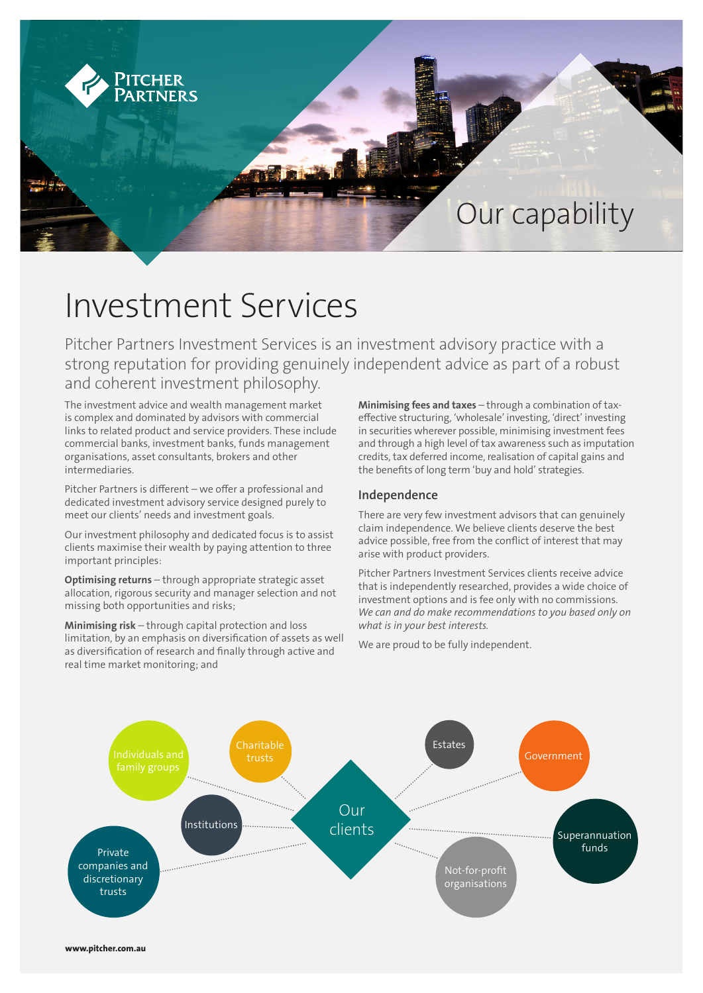

# Investment Services

Pitcher Partners Investment Services is an investment advisory practice with a strong reputation for providing genuinely independent advice as part of a robust and coherent investment philosophy.

The investment advice and wealth management market is complex and dominated by advisors with commercial links to related product and service providers. These include commercial banks, investment banks, funds management organisations, asset consultants, brokers and other intermediaries.

Pitcher Partners is different – we offer a professional and dedicated investment advisory service designed purely to meet our clients' needs and investment goals.

Our investment philosophy and dedicated focus is to assist clients maximise their wealth by paying attention to three important principles:

**Optimising returns** – through appropriate strategic asset allocation, rigorous security and manager selection and not missing both opportunities and risks;

**Minimising risk** – through capital protection and loss limitation, by an emphasis on diversification of assets as well as diversification of research and finally through active and real time market monitoring; and

**Minimising fees and taxes** – through a combination of taxeffective structuring, 'wholesale' investing, 'direct' investing in securities wherever possible, minimising investment fees and through a high level of tax awareness such as imputation credits, tax deferred income, realisation of capital gains and the benefits of long term 'buy and hold' strategies.

# **Independence**

There are very few investment advisors that can genuinely claim independence. We believe clients deserve the best advice possible, free from the conflict of interest that may arise with product providers.

Pitcher Partners Investment Services clients receive advice that is independently researched, provides a wide choice of investment options and is fee only with no commissions. *We can and do make recommendations to you based only on what is in your best interests.*

We are proud to be fully independent.

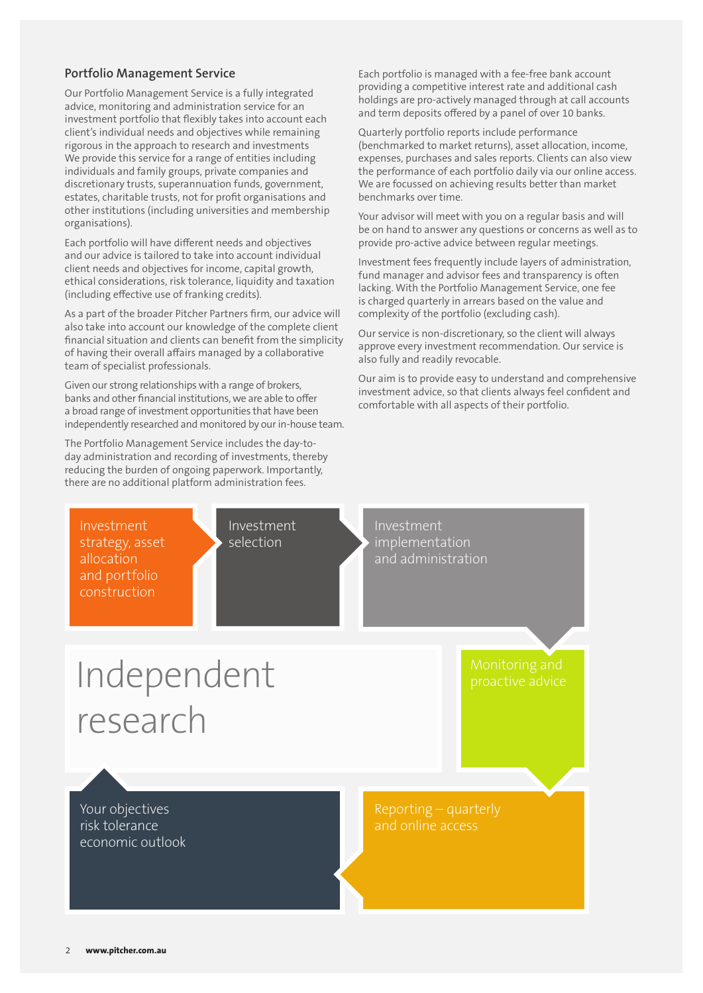## **Portfolio Management Service**

Our Portfolio Management Service is a fully integrated advice, monitoring and administration service for an investment portfolio that flexibly takes into account each client's individual needs and objectives while remaining rigorous in the approach to research and investments We provide this service for a range of entities including individuals and family groups, private companies and discretionary trusts, superannuation funds, government, estates, charitable trusts, not for profit organisations and other institutions (including universities and membership organisations).

Each portfolio will have different needs and objectives and our advice is tailored to take into account individual client needs and objectives for income, capital growth, ethical considerations, risk tolerance, liquidity and taxation (including effective use of franking credits).

As a part of the broader Pitcher Partners firm, our advice will also take into account our knowledge of the complete client financial situation and clients can benefit from the simplicity of having their overall affairs managed by a collaborative team of specialist professionals.

Given our strong relationships with a range of brokers, banks and other financial institutions, we are able to offer a broad range of investment opportunities that have been independently researched and monitored by our in-house team.

The Portfolio Management Service includes the day-today administration and recording of investments, thereby reducing the burden of ongoing paperwork. Importantly, there are no additional platform administration fees.

Each portfolio is managed with a fee-free bank account providing a competitive interest rate and additional cash holdings are pro-actively managed through at call accounts and term deposits offered by a panel of over 10 banks.

Quarterly portfolio reports include performance (benchmarked to market returns), asset allocation, income, expenses, purchases and sales reports. Clients can also view the performance of each portfolio daily via our online access. We are focussed on achieving results better than market benchmarks over time.

Your advisor will meet with you on a regular basis and will be on hand to answer any questions or concerns as well as to provide pro-active advice between regular meetings.

Investment fees frequently include layers of administration, fund manager and advisor fees and transparency is often lacking. With the Portfolio Management Service, one fee is charged quarterly in arrears based on the value and complexity of the portfolio (excluding cash).

Our service is non-discretionary, so the client will always approve every investment recommendation. Our service is also fully and readily revocable.

Our aim is to provide easy to understand and comprehensive investment advice, so that clients always feel confident and comfortable with all aspects of their portfolio.

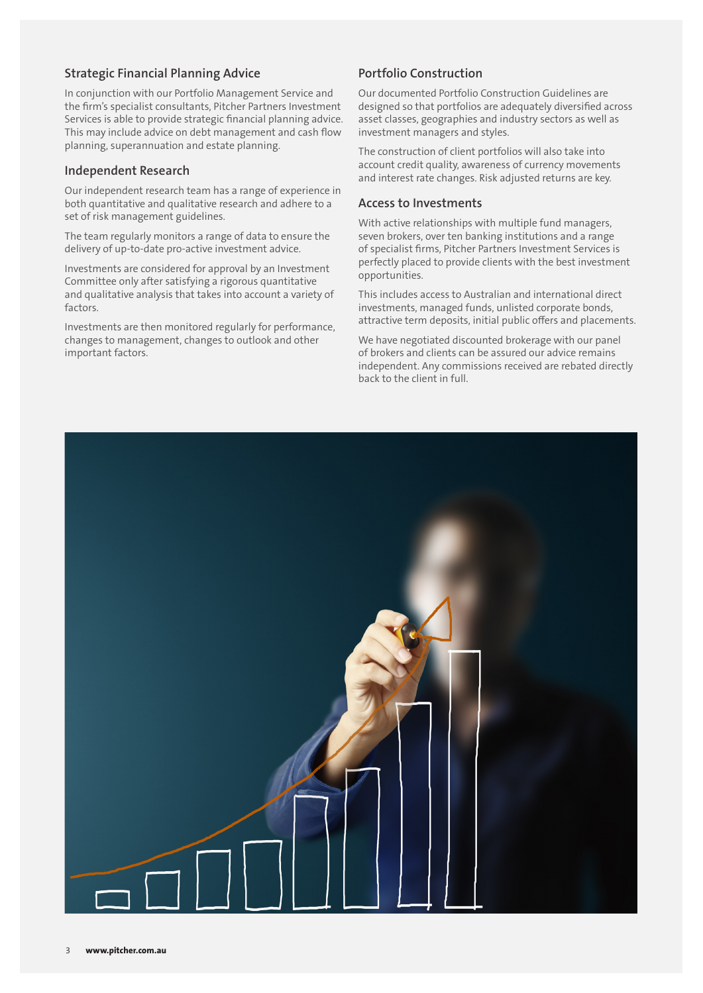## **Strategic Financial Planning Advice**

In conjunction with our Portfolio Management Service and the firm's specialist consultants, Pitcher Partners Investment Services is able to provide strategic financial planning advice. This may include advice on debt management and cash flow planning, superannuation and estate planning.

#### **Independent Research**

Our independent research team has a range of experience in both quantitative and qualitative research and adhere to a set of risk management guidelines.

The team regularly monitors a range of data to ensure the delivery of up-to-date pro-active investment advice.

Investments are considered for approval by an Investment Committee only after satisfying a rigorous quantitative and qualitative analysis that takes into account a variety of factors.

Investments are then monitored regularly for performance, changes to management, changes to outlook and other important factors.

## **Portfolio Construction**

Our documented Portfolio Construction Guidelines are designed so that portfolios are adequately diversified across asset classes, geographies and industry sectors as well as investment managers and styles.

The construction of client portfolios will also take into account credit quality, awareness of currency movements and interest rate changes. Risk adjusted returns are key.

#### **Access to Investments**

With active relationships with multiple fund managers, seven brokers, over ten banking institutions and a range of specialist firms, Pitcher Partners Investment Services is perfectly placed to provide clients with the best investment opportunities.

This includes access to Australian and international direct investments, managed funds, unlisted corporate bonds, attractive term deposits, initial public offers and placements.

We have negotiated discounted brokerage with our panel of brokers and clients can be assured our advice remains independent. Any commissions received are rebated directly back to the client in full.